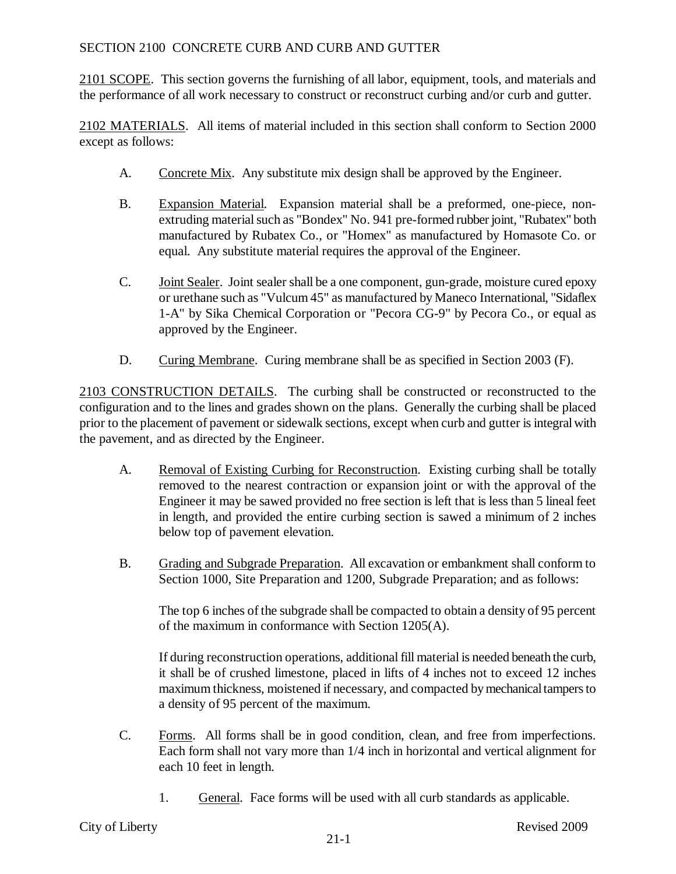## SECTION 2100 CONCRETE CURB AND CURB AND GUTTER

2101 SCOPE. This section governs the furnishing of all labor, equipment, tools, and materials and the performance of all work necessary to construct or reconstruct curbing and/or curb and gutter.

2102 MATERIALS. All items of material included in this section shall conform to Section 2000 except as follows:

- A. Concrete Mix. Any substitute mix design shall be approved by the Engineer.
- B. Expansion Material. Expansion material shall be a preformed, one-piece, nonextruding material such as "Bondex" No. 941 pre-formed rubber joint, "Rubatex" both manufactured by Rubatex Co., or "Homex" as manufactured by Homasote Co. or equal. Any substitute material requires the approval of the Engineer.
- C. Joint Sealer. Joint sealer shall be a one component, gun-grade, moisture cured epoxy or urethane such as "Vulcum 45" as manufactured by Maneco International, "Sidaflex 1-A" by Sika Chemical Corporation or "Pecora CG-9" by Pecora Co., or equal as approved by the Engineer.
- D. Curing Membrane. Curing membrane shall be as specified in Section 2003 (F).

2103 CONSTRUCTION DETAILS. The curbing shall be constructed or reconstructed to the configuration and to the lines and grades shown on the plans. Generally the curbing shall be placed prior to the placement of pavement or sidewalk sections, except when curb and gutter is integral with the pavement, and as directed by the Engineer.

- A. Removal of Existing Curbing for Reconstruction. Existing curbing shall be totally removed to the nearest contraction or expansion joint or with the approval of the Engineer it may be sawed provided no free section is left that is less than 5 lineal feet in length, and provided the entire curbing section is sawed a minimum of 2 inches below top of pavement elevation.
- B. Grading and Subgrade Preparation. All excavation or embankment shall conform to Section 1000, Site Preparation and 1200, Subgrade Preparation; and as follows:

The top 6 inches of the subgrade shall be compacted to obtain a density of 95 percent of the maximum in conformance with Section 1205(A).

If during reconstruction operations, additional fill material is needed beneath the curb, it shall be of crushed limestone, placed in lifts of 4 inches not to exceed 12 inches maximum thickness, moistened if necessary, and compacted by mechanical tampers to a density of 95 percent of the maximum.

- C. Forms. All forms shall be in good condition, clean, and free from imperfections. Each form shall not vary more than 1/4 inch in horizontal and vertical alignment for each 10 feet in length.
	- 1. General. Face forms will be used with all curb standards as applicable.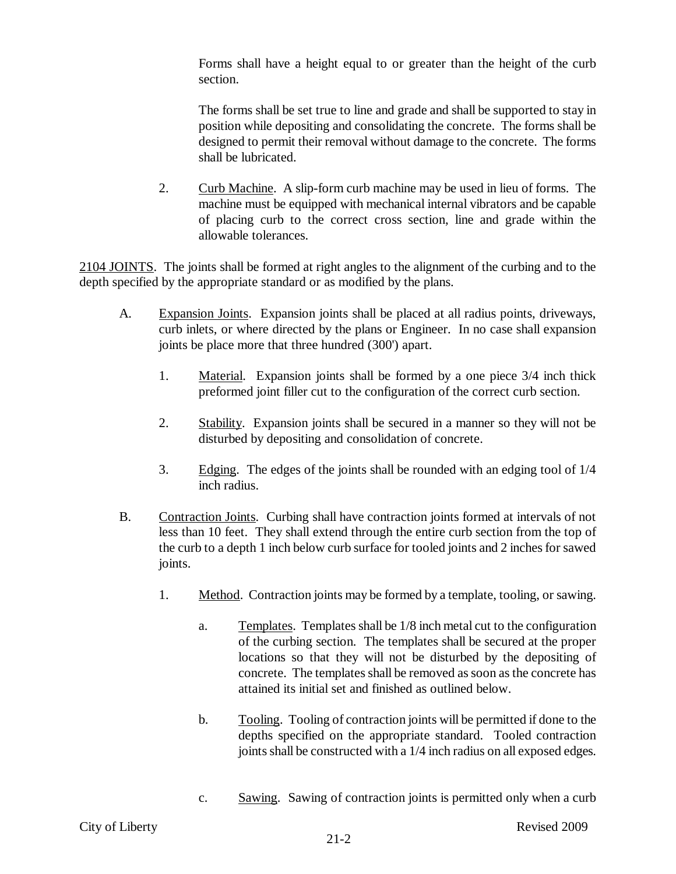Forms shall have a height equal to or greater than the height of the curb section.

The forms shall be set true to line and grade and shall be supported to stay in position while depositing and consolidating the concrete. The forms shall be designed to permit their removal without damage to the concrete. The forms shall be lubricated.

2. Curb Machine. A slip-form curb machine may be used in lieu of forms. The machine must be equipped with mechanical internal vibrators and be capable of placing curb to the correct cross section, line and grade within the allowable tolerances.

2104 JOINTS. The joints shall be formed at right angles to the alignment of the curbing and to the depth specified by the appropriate standard or as modified by the plans.

- A. Expansion Joints. Expansion joints shall be placed at all radius points, driveways, curb inlets, or where directed by the plans or Engineer. In no case shall expansion joints be place more that three hundred (300') apart.
	- 1. Material. Expansion joints shall be formed by a one piece 3/4 inch thick preformed joint filler cut to the configuration of the correct curb section.
	- 2. Stability. Expansion joints shall be secured in a manner so they will not be disturbed by depositing and consolidation of concrete.
	- 3. Edging. The edges of the joints shall be rounded with an edging tool of  $1/4$ inch radius.
- B. Contraction Joints. Curbing shall have contraction joints formed at intervals of not less than 10 feet. They shall extend through the entire curb section from the top of the curb to a depth 1 inch below curb surface for tooled joints and 2 inches for sawed joints.
	- 1. Method. Contraction joints may be formed by a template, tooling, or sawing.
		- a. Templates. Templates shall be 1/8 inch metal cut to the configuration of the curbing section. The templates shall be secured at the proper locations so that they will not be disturbed by the depositing of concrete. The templates shall be removed as soon as the concrete has attained its initial set and finished as outlined below.
		- b. Tooling. Tooling of contraction joints will be permitted if done to the depths specified on the appropriate standard. Tooled contraction joints shall be constructed with a 1/4 inch radius on all exposed edges.
		- c. Sawing. Sawing of contraction joints is permitted only when a curb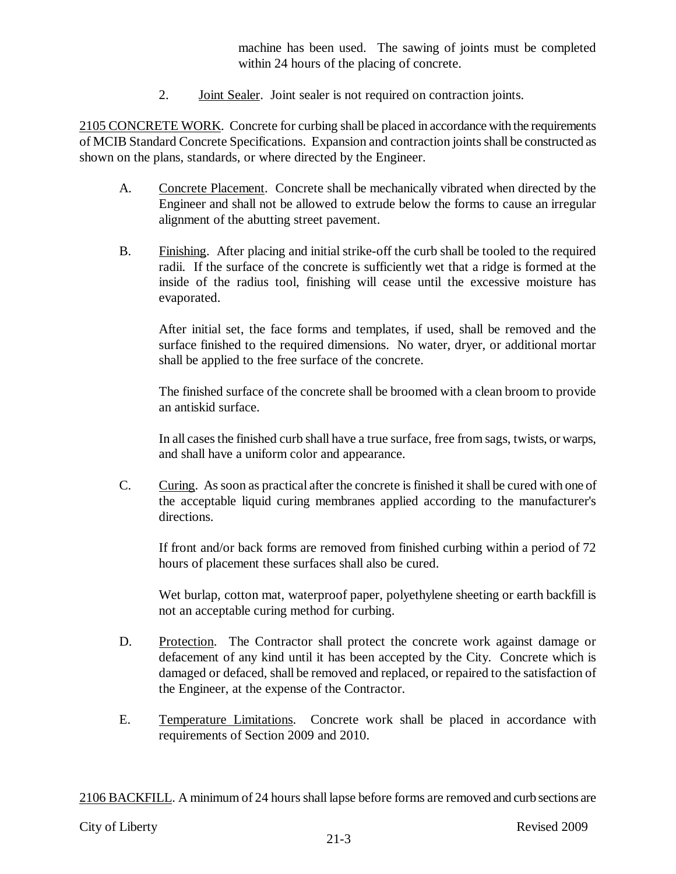machine has been used. The sawing of joints must be completed within 24 hours of the placing of concrete.

2. **Joint Sealer.** Joint sealer is not required on contraction joints.

2105 CONCRETE WORK. Concrete for curbing shall be placed in accordance with the requirements of MCIB Standard Concrete Specifications. Expansion and contraction joints shall be constructed as shown on the plans, standards, or where directed by the Engineer.

- A. Concrete Placement. Concrete shall be mechanically vibrated when directed by the Engineer and shall not be allowed to extrude below the forms to cause an irregular alignment of the abutting street pavement.
- B. Finishing. After placing and initial strike-off the curb shall be tooled to the required radii. If the surface of the concrete is sufficiently wet that a ridge is formed at the inside of the radius tool, finishing will cease until the excessive moisture has evaporated.

After initial set, the face forms and templates, if used, shall be removed and the surface finished to the required dimensions. No water, dryer, or additional mortar shall be applied to the free surface of the concrete.

The finished surface of the concrete shall be broomed with a clean broom to provide an antiskid surface.

In all cases the finished curb shall have a true surface, free from sags, twists, or warps, and shall have a uniform color and appearance.

C. Curing. As soon as practical after the concrete is finished it shall be cured with one of the acceptable liquid curing membranes applied according to the manufacturer's directions.

If front and/or back forms are removed from finished curbing within a period of 72 hours of placement these surfaces shall also be cured.

Wet burlap, cotton mat, waterproof paper, polyethylene sheeting or earth backfill is not an acceptable curing method for curbing.

- D. Protection. The Contractor shall protect the concrete work against damage or defacement of any kind until it has been accepted by the City. Concrete which is damaged or defaced, shall be removed and replaced, or repaired to the satisfaction of the Engineer, at the expense of the Contractor.
- E. Temperature Limitations. Concrete work shall be placed in accordance with requirements of Section 2009 and 2010.

2106 BACKFILL. A minimum of 24 hours shall lapse before forms are removed and curb sections are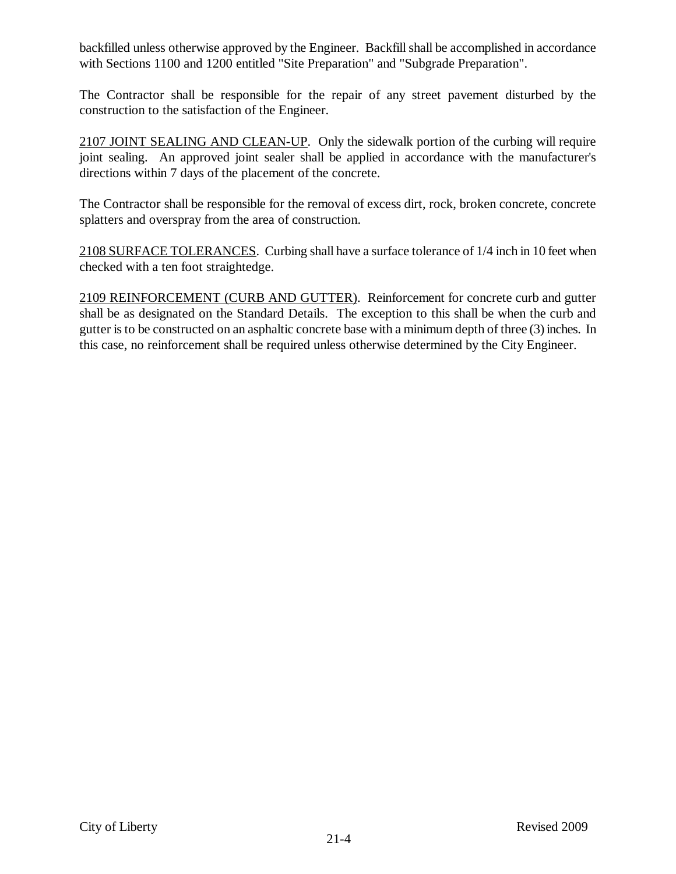backfilled unless otherwise approved by the Engineer. Backfill shall be accomplished in accordance with Sections 1100 and 1200 entitled "Site Preparation" and "Subgrade Preparation".

The Contractor shall be responsible for the repair of any street pavement disturbed by the construction to the satisfaction of the Engineer.

2107 JOINT SEALING AND CLEAN-UP. Only the sidewalk portion of the curbing will require joint sealing. An approved joint sealer shall be applied in accordance with the manufacturer's directions within 7 days of the placement of the concrete.

The Contractor shall be responsible for the removal of excess dirt, rock, broken concrete, concrete splatters and overspray from the area of construction.

2108 SURFACE TOLERANCES. Curbing shall have a surface tolerance of 1/4 inch in 10 feet when checked with a ten foot straightedge.

2109 REINFORCEMENT (CURB AND GUTTER). Reinforcement for concrete curb and gutter shall be as designated on the Standard Details. The exception to this shall be when the curb and gutter is to be constructed on an asphaltic concrete base with a minimum depth of three (3) inches. In this case, no reinforcement shall be required unless otherwise determined by the City Engineer.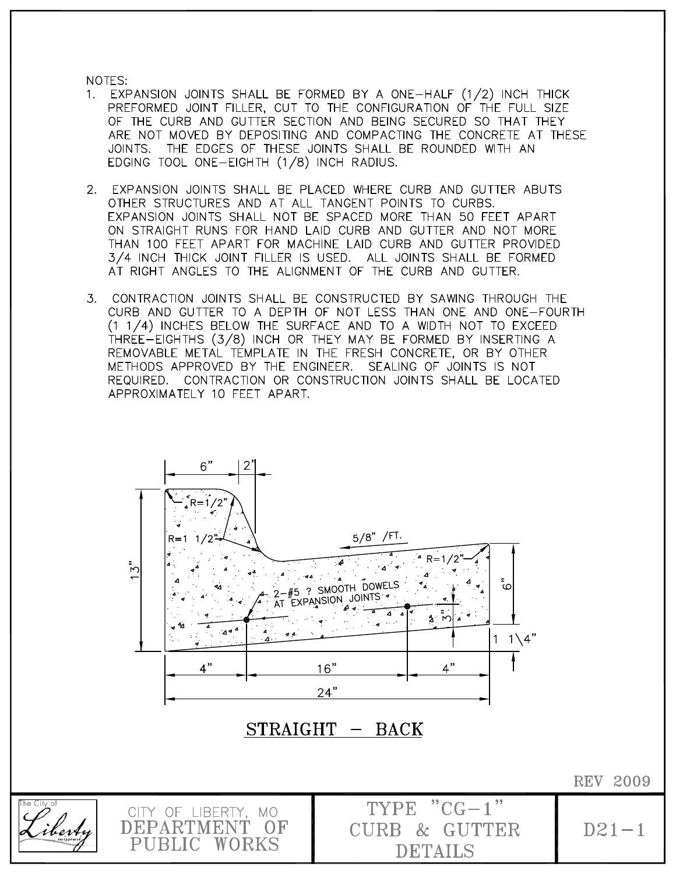NOTES:

berbu

DEPARTMENT

PUBLIC WORKS

– OF

- 1. EXPANSION JOINTS SHALL BE FORMED BY A ONE-HALF (1/2) INCH THICK PREFORMED JOINT FILLER, CUT TO THE CONFIGURATION OF THE FULL SIZE OF THE CURB AND GUTTER SECTION AND BEING SECURED SO THAT THEY ARE NOT MOVED BY DEPOSITING AND COMPACTING THE CONCRETE AT THESE JOINTS. THE EDGES OF THESE JOINTS SHALL BE ROUNDED WITH AN EDGING TOOL ONE-EIGHTH (1/8) INCH RADIUS.
- 2. EXPANSION JOINTS SHALL BE PLACED WHERE CURB AND GUTTER ABUTS OTHER STRUCTURES AND AT ALL TANGENT POINTS TO CURBS. EXPANSION JOINTS SHALL NOT BE SPACED MORE THAN 50 FEET APART ON STRAIGHT RUNS FOR HAND LAID CURB AND GUTTER AND NOT MORE THAN 100 FEET APART FOR MACHINE LAID CURB AND GUTTER PROVIDED 3/4 INCH THICK JOINT FILLER IS USED. ALL JOINTS SHALL BE FORMED AT RIGHT ANGLES TO THE ALIGNMENT OF THE CURB AND GUTTER.
- CONTRACTION JOINTS SHALL BE CONSTRUCTED BY SAWING THROUGH THE  $3.$ CURB AND GUTTER TO A DEPTH OF NOT LESS THAN ONE AND ONE-FOURTH (1 1/4) INCHES BELOW THE SURFACE AND TO A WIDTH NOT TO EXCEED THREE-EIGHTHS (3/8) INCH OR THEY MAY BE FORMED BY INSERTING A REMOVABLE METAL TEMPLATE IN THE FRESH CONCRETE, OR BY OTHER METHODS APPROVED BY THE ENGINEER. SEALING OF JOINTS IS NOT REQUIRED. CONTRACTION OR CONSTRUCTION JOINTS SHALL BE LOCATED APPROXIMATELY 10 FEET APART.



**CURB & GUTTER** 

**DETAILS** 

**REV 2009**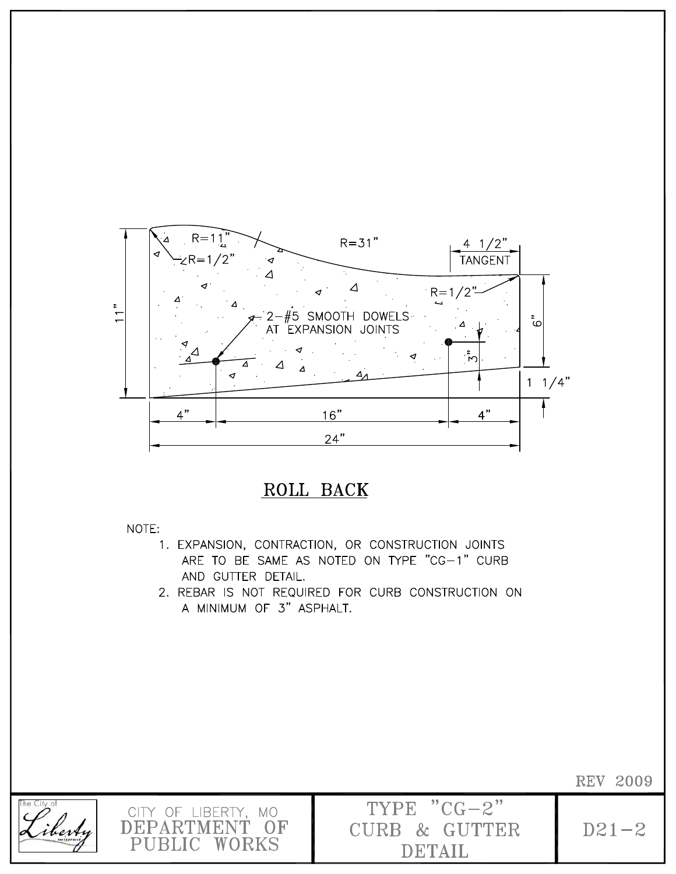

## ROLL BACK

NOTE:

- 1. EXPANSION, CONTRACTION, OR CONSTRUCTION JOINTS ARE TO BE SAME AS NOTED ON TYPE "CG-1" CURB AND GUTTER DETAIL.
- 2. REBAR IS NOT REQUIRED FOR CURB CONSTRUCTION ON A MINIMUM OF 3" ASPHALT.



**REV 2009** 

 $D21 - 2$